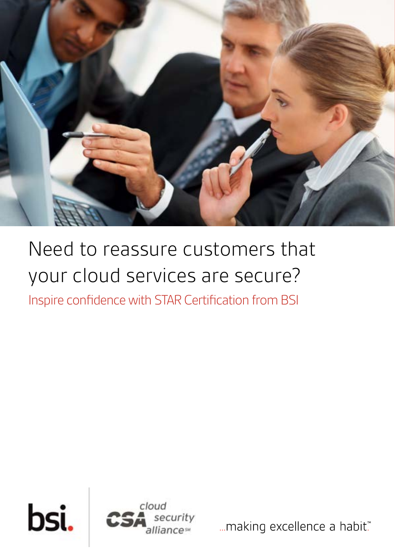

## Need to reassure customers that your cloud services are secure?

Inspire confidence with STAR Certification from BSI



... making excellence a habit."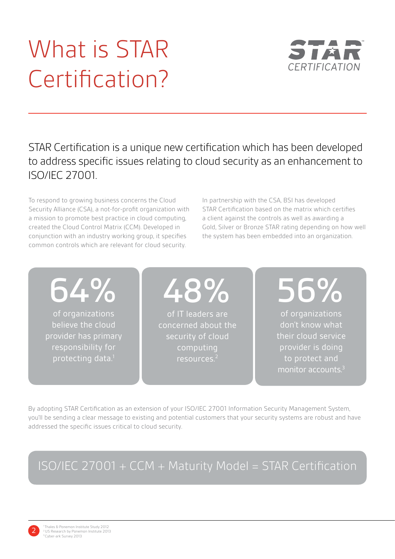## What is STAR Certification?



STAR Certification is a unique new certification which has been developed to address specific issues relating to cloud security as an enhancement to ISO/IEC 27001.

To respond to growing business concerns the Cloud Security Alliance (CSA), a not-for-profit organization with a mission to promote best practice in cloud computing, created the Cloud Control Matrix (CCM). Developed in conjunction with an industry working group, it specifies common controls which are relevant for cloud security.

In partnership with the CSA, BSI has developed STAR Certification based on the matrix which certifies a client against the controls as well as awarding a Gold, Silver or Bronze STAR rating depending on how well the system has been embedded into an organization.

64%

of organizations believe the cloud provider has primary responsibility for protecting data.<sup>1</sup>

48%

of IT leaders are concerned about the security of cloud computing resources.<sup>2</sup>

56% of organizations

don't know what their cloud service provider is doing to protect and monitor accounts.<sup>3</sup>

By adopting STAR Certification as an extension of your ISO/IEC 27001 Information Security Management System, you'll be sending a clear message to existing and potential customers that your security systems are robust and have addressed the specific issues critical to cloud security.

## ISO/IEC 27001 + CCM + Maturity Model = STAR Certification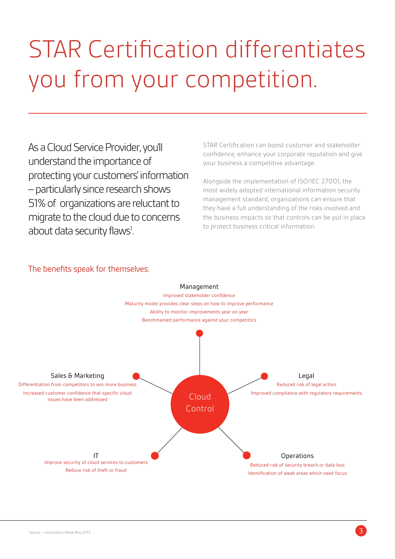## STAR Certification differentiates you from your competition.

As a Cloud Service Provider, you'll understand the importance of protecting your customers' information – particularly since research shows 51% of organizations are reluctant to migrate to the cloud due to concerns about data security flaws<sup>1</sup>.

STAR Certification can boost customer and stakeholder confidence, enhance your corporate reputation and give your business a competitive advantage.

Alongside the implementation of ISO/IEC 27001, the most widely adopted international information security management standard, organizations can ensure that they have a full understanding of the risks involved and the business impacts so that controls can be put in place to protect business critical information.



#### The benefits speak for themselves: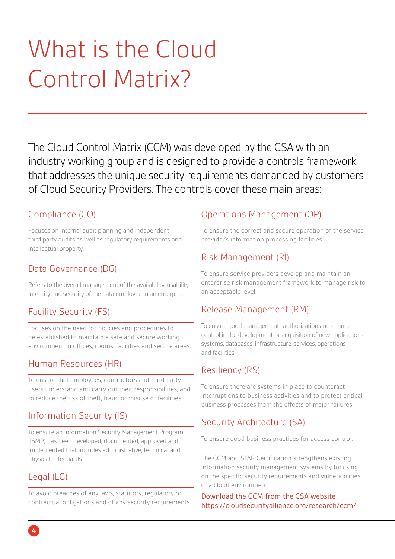## What is the Cloud Control Matrix?

The Cloud Control Matrix (CCM) was developed by the CSA with an industry working group and is designed to provide a controls framework that addresses the unique security requirements demanded by customers of Cloud Security Providers. The controls cover these main areas:

#### Compliance (CO)

Focuses on internal audit planning and independent third party audits as well as regulatory requirements and intellectual property.

### Data Governance (DG)

Refers to the overall management of the availability, usability, integrity and security of the data employed in an enterprise.

## Facility Security (FS)

Focuses on the need for policies and procedures to be established to maintain a safe and secure working environment in offices, rooms, facilities and secure areas.

### Human Resources (HR)

To ensure that employees, contractors and third party users understand and carry out their responsibilities, and to reduce the risk of theft, fraud or misuse of facilities.

### Information Security (IS)

To ensure an Information Security Management Program (ISMP) has been developed, documented, approved and implemented that includes administrative, technical and physical safeguards.

## Legal (LG)

To avoid breaches of any laws, statutory, regulatory or contractual obligations and of any security requirements.

### Operations Management (OP)

To ensure the correct and secure operation of the service provider's information processing facilities.

### Risk Management (RI)

To ensure service providers develop and maintain an enterprise risk management framework to manage risk to an acceptable level.

#### Release Management (RM)

To ensure good management , authorization and change control in the development or acquisition of new applications, systems, databases, infrastructure, services, operations and facilities.

#### Resiliency (RS)

To ensure there are systems in place to counteract interruptions to business activities and to protect critical business processes from the effects of major failures.

## Security Architecture (SA)

To ensure good business practices for access control.

The CCM and STAR Certification strengthens existing information security management systems by focusing on the specific security requirements and vulnerabilities of a cloud environment.

#### Download the CCM from the CSA website https://cloudsecurityalliance.org/research/ccm/

4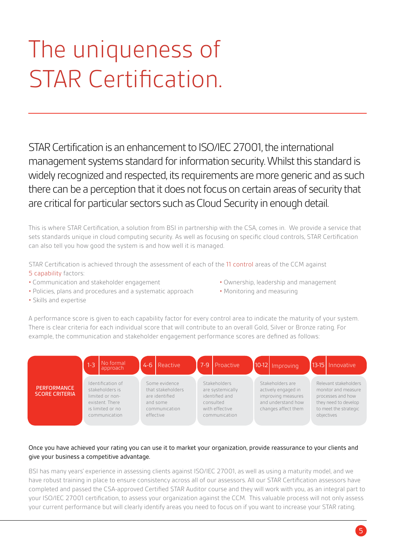## The uniqueness of STAR Certification.

STAR Certification is an enhancement to ISO/IEC 27001, the international management systems standard for information security. Whilst this standard is widely recognized and respected, its requirements are more generic and as such there can be a perception that it does not focus on certain areas of security that are critical for particular sectors such as Cloud Security in enough detail.

This is where STAR Certification, a solution from BSI in partnership with the CSA, comes in. We provide a service that sets standards unique in cloud computing security. As well as focusing on specific cloud controls, STAR Certification can also tell you how good the system is and how well it is managed.

STAR Certification is achieved through the assessment of each of the 11 control areas of the CCM against 5 capability factors:

- Communication and stakeholder engagement Ownership, leadership and management
- Policies, plans and procedures and a systematic approach Monitoring and measuring
- 
- 

• Skills and expertise

A performance score is given to each capability factor for every control area to indicate the maturity of your system. There is clear criteria for each individual score that will contribute to an overall Gold, Silver or Bronze rating. For example, the communication and stakeholder engagement performance scores are defined as follows:



#### Once you have achieved your rating you can use it to market your organization, provide reassurance to your clients and give your business a competitive advantage.

BSI has many years' experience in assessing clients against ISO/IEC 27001, as well as using a maturity model, and we have robust training in place to ensure consistency across all of our assessors. All our STAR Certification assessors have completed and passed the CSA-approved Certified STAR Auditor course and they will work with you, as an integral part to your ISO/IEC 27001 certification, to assess your organization against the CCM. This valuable process will not only assess your current performance but will clearly identify areas you need to focus on if you want to increase your STAR rating.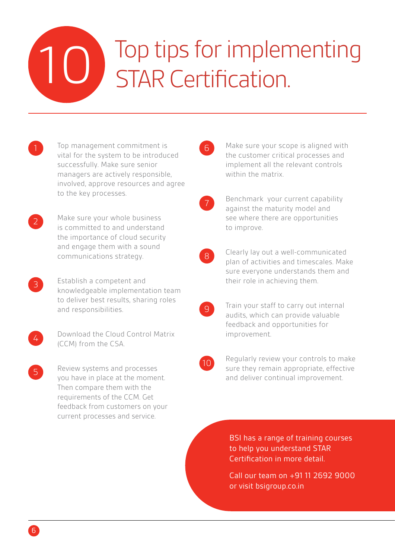## Top tips for implementing STAR Certification. 10

- Top management commitment is vital for the system to be introduced successfully. Make sure senior managers are actively responsible, involved, approve resources and agree to the key processes.
- Make sure your whole business is committed to and understand the importance of cloud security and engage them with a sound communications strategy.
- Establish a competent and knowledgeable implementation team to deliver best results, sharing roles and responsibilities.
- $\angle$

3

2

5

Download the Cloud Control Matrix (CCM) from the CSA.

Review systems and processes you have in place at the moment. Then compare them with the requirements of the CCM. Get feedback from customers on your current processes and service.

6

Make sure your scope is aligned with the customer critical processes and implement all the relevant controls within the matrix.

- 7
- Benchmark your current capability against the maturity model and see where there are opportunities to improve.
- 8

9

Clearly lay out a well-communicated plan of activities and timescales. Make sure everyone understands them and their role in achieving them.

- Train your staff to carry out internal audits, which can provide valuable feedback and opportunities for improvement.
- $10^{\circ}$

Regularly review your controls to make sure they remain appropriate, effective and deliver continual improvement.

BSI has a range of training courses to help you understand STAR Certification in more detail.

Call our team on +91 11 2692 9000 or visit bsigroup.co.in

6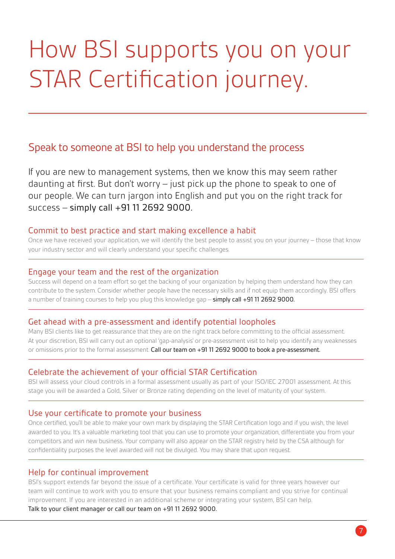## How BSI supports you on your STAR Certification journey.

## Speak to someone at BSI to help you understand the process

If you are new to management systems, then we know this may seem rather daunting at first. But don't worry – just pick up the phone to speak to one of our people. We can turn jargon into English and put you on the right track for success – simply call +91 11 2692 9000.

#### Commit to best practice and start making excellence a habit

Once we have received your application, we will identify the best people to assist you on your journey – those that know your industry sector and will clearly understand your specific challenges.

#### Engage your team and the rest of the organization

Success will depend on a team effort so get the backing of your organization by helping them understand how they can contribute to the system. Consider whether people have the necessary skills and if not equip them accordingly. BSI offers a number of training courses to help you plug this knowledge gap – simply call +91 11 2692 9000.

#### Get ahead with a pre-assessment and identify potential loopholes

Many BSI clients like to get reassurance that they are on the right track before committing to the official assessment. At your discretion, BSI will carry out an optional 'gap-analysis' or pre-assessment visit to help you identify any weaknesses or omissions prior to the formal assessment. Call our team on +91 11 2692 9000 to book a pre-assessment.

#### Celebrate the achievement of your official STAR Certification

BSI will assess your cloud controls in a formal assessment usually as part of your ISO/IEC 27001 assessment. At this stage you will be awarded a Gold, Silver or Bronze rating depending on the level of maturity of your system.

#### Use your certificate to promote your business

Once certified, you'll be able to make your own mark by displaying the STAR Certification logo and if you wish, the level awarded to you. It's a valuable marketing tool that you can use to promote your organization, differentiate you from your competitors and win new business. Your company will also appear on the STAR registry held by the CSA although for confidentiality purposes the level awarded will not be divulged. You may share that upon request.

#### Help for continual improvement

BSI's support extends far beyond the issue of a certificate. Your certificate is valid for three years however our team will continue to work with you to ensure that your business remains compliant and you strive for continual improvement. If you are interested in an additional scheme or integrating your system, BSI can help. Talk to your client manager or call our team on +91 11 2692 9000.